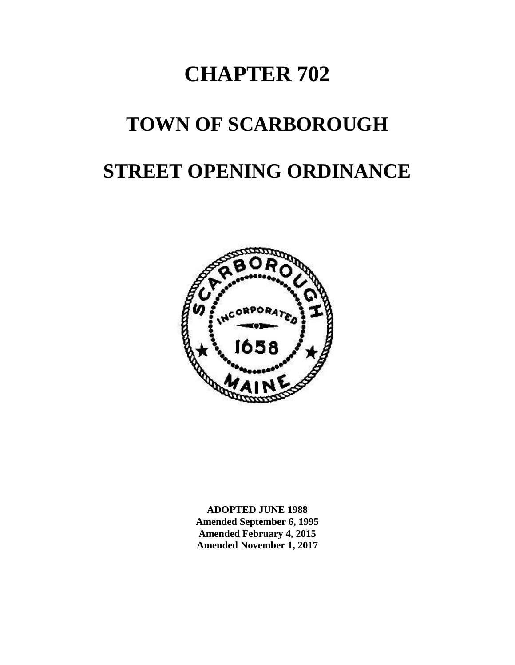# **CHAPTER 702**

# **TOWN OF SCARBOROUGH**

# **STREET OPENING ORDINANCE**



**ADOPTED JUNE 1988 Amended September 6, 1995 Amended February 4, 2015 Amended November 1, 2017**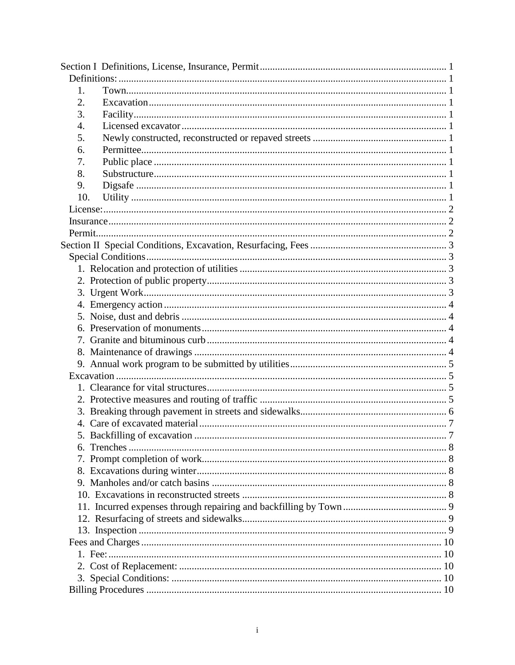| 1.  |  |  |
|-----|--|--|
| 2.  |  |  |
| 3.  |  |  |
| 4.  |  |  |
| 5.  |  |  |
| 6.  |  |  |
| 7.  |  |  |
| 8.  |  |  |
| 9.  |  |  |
| 10. |  |  |
|     |  |  |
|     |  |  |
|     |  |  |
|     |  |  |
|     |  |  |
|     |  |  |
|     |  |  |
|     |  |  |
|     |  |  |
|     |  |  |
|     |  |  |
|     |  |  |
|     |  |  |
|     |  |  |
|     |  |  |
|     |  |  |
|     |  |  |
|     |  |  |
|     |  |  |
|     |  |  |
|     |  |  |
|     |  |  |
|     |  |  |
|     |  |  |
|     |  |  |
|     |  |  |
|     |  |  |
|     |  |  |
|     |  |  |
|     |  |  |
|     |  |  |
|     |  |  |
|     |  |  |
|     |  |  |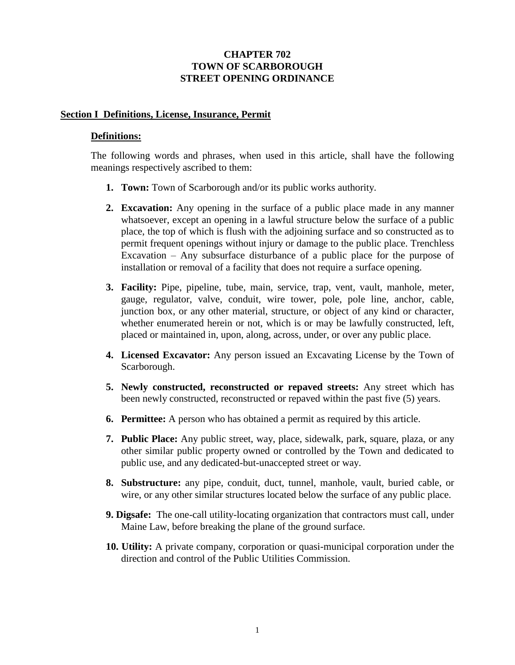## <span id="page-2-1"></span>**CHAPTER 702 TOWN OF SCARBOROUGH STREET OPENING ORDINANCE**

### <span id="page-2-0"></span>**Section I Definitions, License, Insurance, Permit**

#### **Definitions:**

<span id="page-2-2"></span>The following words and phrases, when used in this article, shall have the following meanings respectively ascribed to them:

- **1. Town:** Town of Scarborough and/or its public works authority.
- <span id="page-2-3"></span>**2. Excavation:** Any opening in the surface of a public place made in any manner whatsoever, except an opening in a lawful structure below the surface of a public place, the top of which is flush with the adjoining surface and so constructed as to permit frequent openings without injury or damage to the public place. Trenchless Excavation – Any subsurface disturbance of a public place for the purpose of installation or removal of a facility that does not require a surface opening.
- <span id="page-2-4"></span>**3. Facility:** Pipe, pipeline, tube, main, service, trap, vent, vault, manhole, meter, gauge, regulator, valve, conduit, wire tower, pole, pole line, anchor, cable, junction box, or any other material, structure, or object of any kind or character, whether enumerated herein or not, which is or may be lawfully constructed, left, placed or maintained in, upon, along, across, under, or over any public place.
- <span id="page-2-5"></span>**4. Licensed Excavator:** Any person issued an Excavating License by the Town of Scarborough.
- <span id="page-2-6"></span>**5. Newly constructed, reconstructed or repaved streets:** Any street which has been newly constructed, reconstructed or repaved within the past five (5) years.
- <span id="page-2-7"></span>**6. Permittee:** A person who has obtained a permit as required by this article.
- <span id="page-2-8"></span>**7. Public Place:** Any public street, way, place, sidewalk, park, square, plaza, or any other similar public property owned or controlled by the Town and dedicated to public use, and any dedicated-but-unaccepted street or way.
- <span id="page-2-9"></span>**8. Substructure:** any pipe, conduit, duct, tunnel, manhole, vault, buried cable, or wire, or any other similar structures located below the surface of any public place.
- <span id="page-2-10"></span>**9. Digsafe:** The one-call utility-locating organization that contractors must call, under Maine Law, before breaking the plane of the ground surface.
- **10. Utility:** A private company, corporation or quasi-municipal corporation under the direction and control of the Public Utilities Commission.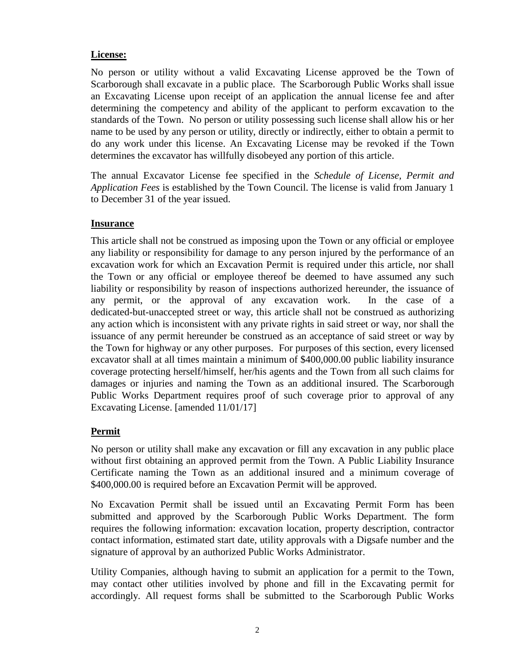# <span id="page-3-0"></span>**License:**

No person or utility without a valid Excavating License approved be the Town of Scarborough shall excavate in a public place. The Scarborough Public Works shall issue an Excavating License upon receipt of an application the annual license fee and after determining the competency and ability of the applicant to perform excavation to the standards of the Town. No person or utility possessing such license shall allow his or her name to be used by any person or utility, directly or indirectly, either to obtain a permit to do any work under this license. An Excavating License may be revoked if the Town determines the excavator has willfully disobeyed any portion of this article.

The annual Excavator License fee specified in the *Schedule of License, Permit and Application Fees* is established by the Town Council. The license is valid from January 1 to December 31 of the year issued.

# <span id="page-3-1"></span>**Insurance**

This article shall not be construed as imposing upon the Town or any official or employee any liability or responsibility for damage to any person injured by the performance of an excavation work for which an Excavation Permit is required under this article, nor shall the Town or any official or employee thereof be deemed to have assumed any such liability or responsibility by reason of inspections authorized hereunder, the issuance of any permit, or the approval of any excavation work. In the case of a dedicated-but-unaccepted street or way, this article shall not be construed as authorizing any action which is inconsistent with any private rights in said street or way, nor shall the issuance of any permit hereunder be construed as an acceptance of said street or way by the Town for highway or any other purposes. For purposes of this section, every licensed excavator shall at all times maintain a minimum of \$400,000.00 public liability insurance coverage protecting herself/himself, her/his agents and the Town from all such claims for damages or injuries and naming the Town as an additional insured. The Scarborough Public Works Department requires proof of such coverage prior to approval of any Excavating License. [amended 11/01/17]

# <span id="page-3-2"></span>**Permit**

No person or utility shall make any excavation or fill any excavation in any public place without first obtaining an approved permit from the Town. A Public Liability Insurance Certificate naming the Town as an additional insured and a minimum coverage of \$400,000.00 is required before an Excavation Permit will be approved.

No Excavation Permit shall be issued until an Excavating Permit Form has been submitted and approved by the Scarborough Public Works Department. The form requires the following information: excavation location, property description, contractor contact information, estimated start date, utility approvals with a Digsafe number and the signature of approval by an authorized Public Works Administrator.

Utility Companies, although having to submit an application for a permit to the Town, may contact other utilities involved by phone and fill in the Excavating permit for accordingly. All request forms shall be submitted to the Scarborough Public Works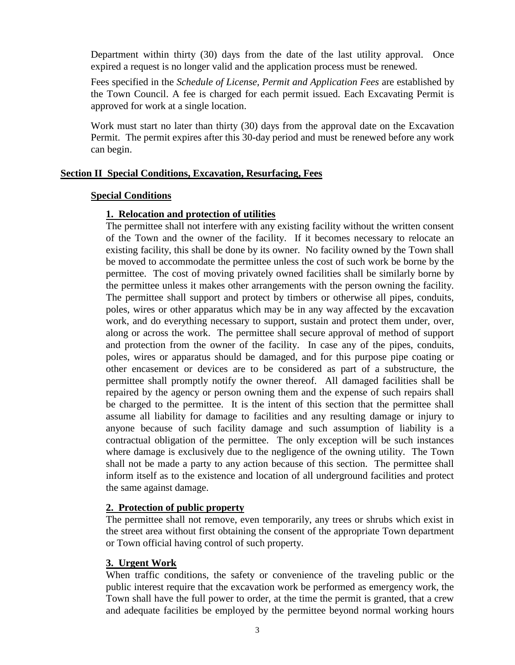Department within thirty (30) days from the date of the last utility approval. Once expired a request is no longer valid and the application process must be renewed.

Fees specified in the *Schedule of License, Permit and Application Fees* are established by the Town Council. A fee is charged for each permit issued. Each Excavating Permit is approved for work at a single location.

Work must start no later than thirty (30) days from the approval date on the Excavation Permit. The permit expires after this 30-day period and must be renewed before any work can begin.

## <span id="page-4-1"></span><span id="page-4-0"></span>**Section II Special Conditions, Excavation, Resurfacing, Fees**

## <span id="page-4-2"></span>**Special Conditions**

# **1. Relocation and protection of utilities**

The permittee shall not interfere with any existing facility without the written consent of the Town and the owner of the facility. If it becomes necessary to relocate an existing facility, this shall be done by its owner. No facility owned by the Town shall be moved to accommodate the permittee unless the cost of such work be borne by the permittee. The cost of moving privately owned facilities shall be similarly borne by the permittee unless it makes other arrangements with the person owning the facility. The permittee shall support and protect by timbers or otherwise all pipes, conduits, poles, wires or other apparatus which may be in any way affected by the excavation work, and do everything necessary to support, sustain and protect them under, over, along or across the work. The permittee shall secure approval of method of support and protection from the owner of the facility. In case any of the pipes, conduits, poles, wires or apparatus should be damaged, and for this purpose pipe coating or other encasement or devices are to be considered as part of a substructure, the permittee shall promptly notify the owner thereof. All damaged facilities shall be repaired by the agency or person owning them and the expense of such repairs shall be charged to the permittee. It is the intent of this section that the permittee shall assume all liability for damage to facilities and any resulting damage or injury to anyone because of such facility damage and such assumption of liability is a contractual obligation of the permittee. The only exception will be such instances where damage is exclusively due to the negligence of the owning utility. The Town shall not be made a party to any action because of this section. The permittee shall inform itself as to the existence and location of all underground facilities and protect the same against damage.

# <span id="page-4-3"></span>**2. Protection of public property**

The permittee shall not remove, even temporarily, any trees or shrubs which exist in the street area without first obtaining the consent of the appropriate Town department or Town official having control of such property.

# <span id="page-4-4"></span>**3. Urgent Work**

When traffic conditions, the safety or convenience of the traveling public or the public interest require that the excavation work be performed as emergency work, the Town shall have the full power to order, at the time the permit is granted, that a crew and adequate facilities be employed by the permittee beyond normal working hours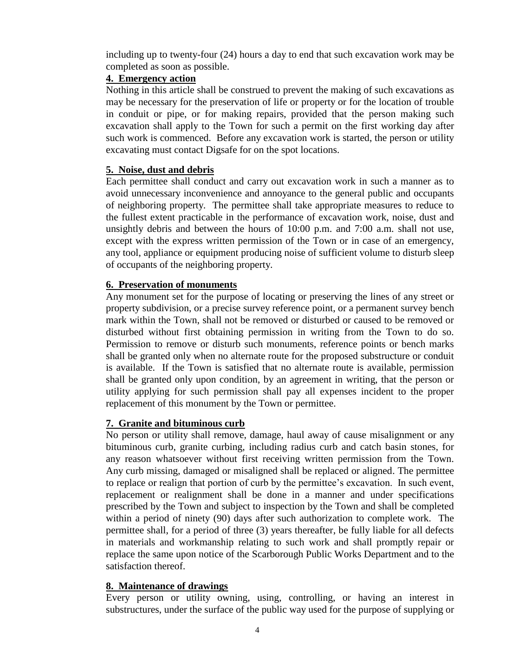including up to twenty-four (24) hours a day to end that such excavation work may be completed as soon as possible.

# <span id="page-5-0"></span>**4. Emergency action**

Nothing in this article shall be construed to prevent the making of such excavations as may be necessary for the preservation of life or property or for the location of trouble in conduit or pipe, or for making repairs, provided that the person making such excavation shall apply to the Town for such a permit on the first working day after such work is commenced. Before any excavation work is started, the person or utility excavating must contact Digsafe for on the spot locations.

## <span id="page-5-1"></span>**5. Noise, dust and debris**

Each permittee shall conduct and carry out excavation work in such a manner as to avoid unnecessary inconvenience and annoyance to the general public and occupants of neighboring property. The permittee shall take appropriate measures to reduce to the fullest extent practicable in the performance of excavation work, noise, dust and unsightly debris and between the hours of 10:00 p.m. and 7:00 a.m. shall not use, except with the express written permission of the Town or in case of an emergency, any tool, appliance or equipment producing noise of sufficient volume to disturb sleep of occupants of the neighboring property.

## <span id="page-5-2"></span>**6. Preservation of monuments**

Any monument set for the purpose of locating or preserving the lines of any street or property subdivision, or a precise survey reference point, or a permanent survey bench mark within the Town, shall not be removed or disturbed or caused to be removed or disturbed without first obtaining permission in writing from the Town to do so. Permission to remove or disturb such monuments, reference points or bench marks shall be granted only when no alternate route for the proposed substructure or conduit is available. If the Town is satisfied that no alternate route is available, permission shall be granted only upon condition, by an agreement in writing, that the person or utility applying for such permission shall pay all expenses incident to the proper replacement of this monument by the Town or permittee.

# <span id="page-5-3"></span>**7. Granite and bituminous curb**

No person or utility shall remove, damage, haul away of cause misalignment or any bituminous curb, granite curbing, including radius curb and catch basin stones, for any reason whatsoever without first receiving written permission from the Town. Any curb missing, damaged or misaligned shall be replaced or aligned. The permittee to replace or realign that portion of curb by the permittee's excavation. In such event, replacement or realignment shall be done in a manner and under specifications prescribed by the Town and subject to inspection by the Town and shall be completed within a period of ninety (90) days after such authorization to complete work. The permittee shall, for a period of three (3) years thereafter, be fully liable for all defects in materials and workmanship relating to such work and shall promptly repair or replace the same upon notice of the Scarborough Public Works Department and to the satisfaction thereof.

#### <span id="page-5-4"></span>**8. Maintenance of drawings**

Every person or utility owning, using, controlling, or having an interest in substructures, under the surface of the public way used for the purpose of supplying or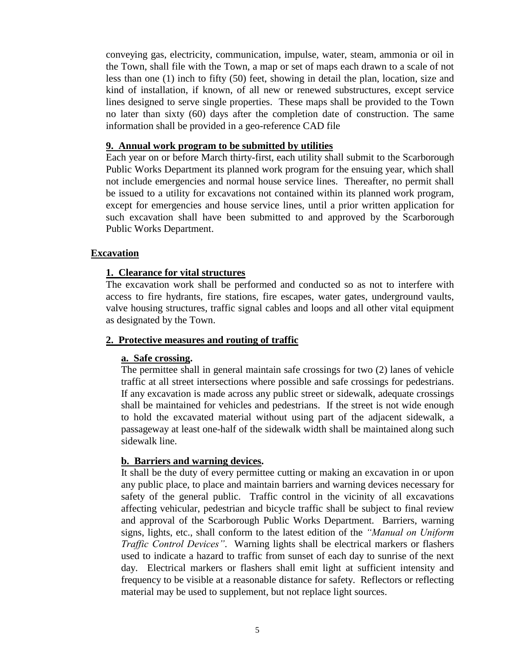conveying gas, electricity, communication, impulse, water, steam, ammonia or oil in the Town, shall file with the Town, a map or set of maps each drawn to a scale of not less than one (1) inch to fifty (50) feet, showing in detail the plan, location, size and kind of installation, if known, of all new or renewed substructures, except service lines designed to serve single properties. These maps shall be provided to the Town no later than sixty (60) days after the completion date of construction. The same information shall be provided in a geo-reference CAD file

#### <span id="page-6-0"></span>**9. Annual work program to be submitted by utilities**

Each year on or before March thirty-first, each utility shall submit to the Scarborough Public Works Department its planned work program for the ensuing year, which shall not include emergencies and normal house service lines. Thereafter, no permit shall be issued to a utility for excavations not contained within its planned work program, except for emergencies and house service lines, until a prior written application for such excavation shall have been submitted to and approved by the Scarborough Public Works Department.

#### <span id="page-6-2"></span><span id="page-6-1"></span>**Excavation**

#### **1. Clearance for vital structures**

The excavation work shall be performed and conducted so as not to interfere with access to fire hydrants, fire stations, fire escapes, water gates, underground vaults, valve housing structures, traffic signal cables and loops and all other vital equipment as designated by the Town.

#### <span id="page-6-3"></span>**2. Protective measures and routing of traffic**

#### **a. Safe crossing.**

The permittee shall in general maintain safe crossings for two (2) lanes of vehicle traffic at all street intersections where possible and safe crossings for pedestrians. If any excavation is made across any public street or sidewalk, adequate crossings shall be maintained for vehicles and pedestrians. If the street is not wide enough to hold the excavated material without using part of the adjacent sidewalk, a passageway at least one-half of the sidewalk width shall be maintained along such sidewalk line.

#### **b. Barriers and warning devices.**

It shall be the duty of every permittee cutting or making an excavation in or upon any public place, to place and maintain barriers and warning devices necessary for safety of the general public. Traffic control in the vicinity of all excavations affecting vehicular, pedestrian and bicycle traffic shall be subject to final review and approval of the Scarborough Public Works Department. Barriers, warning signs, lights, etc., shall conform to the latest edition of the *"Manual on Uniform Traffic Control Devices"*. Warning lights shall be electrical markers or flashers used to indicate a hazard to traffic from sunset of each day to sunrise of the next day. Electrical markers or flashers shall emit light at sufficient intensity and frequency to be visible at a reasonable distance for safety. Reflectors or reflecting material may be used to supplement, but not replace light sources.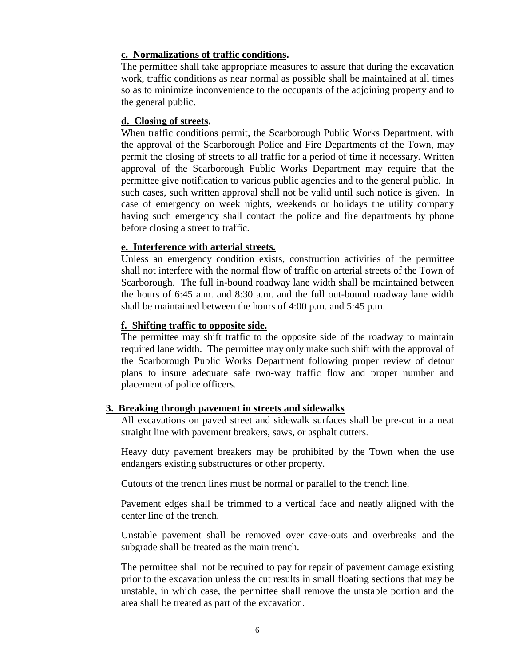## **c. Normalizations of traffic conditions.**

The permittee shall take appropriate measures to assure that during the excavation work, traffic conditions as near normal as possible shall be maintained at all times so as to minimize inconvenience to the occupants of the adjoining property and to the general public.

## **d. Closing of streets.**

When traffic conditions permit, the Scarborough Public Works Department, with the approval of the Scarborough Police and Fire Departments of the Town, may permit the closing of streets to all traffic for a period of time if necessary. Written approval of the Scarborough Public Works Department may require that the permittee give notification to various public agencies and to the general public. In such cases, such written approval shall not be valid until such notice is given. In case of emergency on week nights, weekends or holidays the utility company having such emergency shall contact the police and fire departments by phone before closing a street to traffic.

## **e. Interference with arterial streets.**

Unless an emergency condition exists, construction activities of the permittee shall not interfere with the normal flow of traffic on arterial streets of the Town of Scarborough. The full in-bound roadway lane width shall be maintained between the hours of 6:45 a.m. and 8:30 a.m. and the full out-bound roadway lane width shall be maintained between the hours of 4:00 p.m. and 5:45 p.m.

## **f. Shifting traffic to opposite side.**

The permittee may shift traffic to the opposite side of the roadway to maintain required lane width. The permittee may only make such shift with the approval of the Scarborough Public Works Department following proper review of detour plans to insure adequate safe two-way traffic flow and proper number and placement of police officers.

#### **3. Breaking through pavement in streets and sidewalks**

<span id="page-7-0"></span>All excavations on paved street and sidewalk surfaces shall be pre-cut in a neat straight line with pavement breakers, saws, or asphalt cutters.

Heavy duty pavement breakers may be prohibited by the Town when the use endangers existing substructures or other property.

Cutouts of the trench lines must be normal or parallel to the trench line.

Pavement edges shall be trimmed to a vertical face and neatly aligned with the center line of the trench.

Unstable pavement shall be removed over cave-outs and overbreaks and the subgrade shall be treated as the main trench.

The permittee shall not be required to pay for repair of pavement damage existing prior to the excavation unless the cut results in small floating sections that may be unstable, in which case, the permittee shall remove the unstable portion and the area shall be treated as part of the excavation.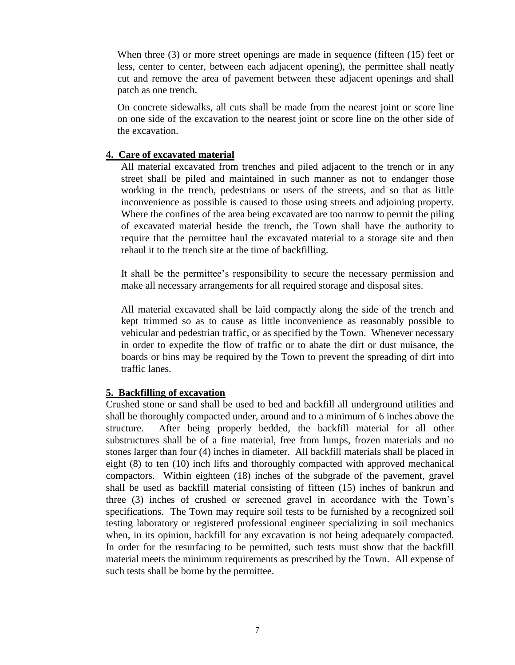When three (3) or more street openings are made in sequence (fifteen (15) feet or less, center to center, between each adjacent opening), the permittee shall neatly cut and remove the area of pavement between these adjacent openings and shall patch as one trench.

On concrete sidewalks, all cuts shall be made from the nearest joint or score line on one side of the excavation to the nearest joint or score line on the other side of the excavation.

#### <span id="page-8-0"></span>**4. Care of excavated material**

All material excavated from trenches and piled adjacent to the trench or in any street shall be piled and maintained in such manner as not to endanger those working in the trench, pedestrians or users of the streets, and so that as little inconvenience as possible is caused to those using streets and adjoining property. Where the confines of the area being excavated are too narrow to permit the piling of excavated material beside the trench, the Town shall have the authority to require that the permittee haul the excavated material to a storage site and then rehaul it to the trench site at the time of backfilling.

It shall be the permittee's responsibility to secure the necessary permission and make all necessary arrangements for all required storage and disposal sites.

All material excavated shall be laid compactly along the side of the trench and kept trimmed so as to cause as little inconvenience as reasonably possible to vehicular and pedestrian traffic, or as specified by the Town. Whenever necessary in order to expedite the flow of traffic or to abate the dirt or dust nuisance, the boards or bins may be required by the Town to prevent the spreading of dirt into traffic lanes.

#### <span id="page-8-1"></span>**5. Backfilling of excavation**

Crushed stone or sand shall be used to bed and backfill all underground utilities and shall be thoroughly compacted under, around and to a minimum of 6 inches above the structure. After being properly bedded, the backfill material for all other substructures shall be of a fine material, free from lumps, frozen materials and no stones larger than four (4) inches in diameter. All backfill materials shall be placed in eight (8) to ten (10) inch lifts and thoroughly compacted with approved mechanical compactors. Within eighteen (18) inches of the subgrade of the pavement, gravel shall be used as backfill material consisting of fifteen (15) inches of bankrun and three (3) inches of crushed or screened gravel in accordance with the Town's specifications. The Town may require soil tests to be furnished by a recognized soil testing laboratory or registered professional engineer specializing in soil mechanics when, in its opinion, backfill for any excavation is not being adequately compacted. In order for the resurfacing to be permitted, such tests must show that the backfill material meets the minimum requirements as prescribed by the Town. All expense of such tests shall be borne by the permittee.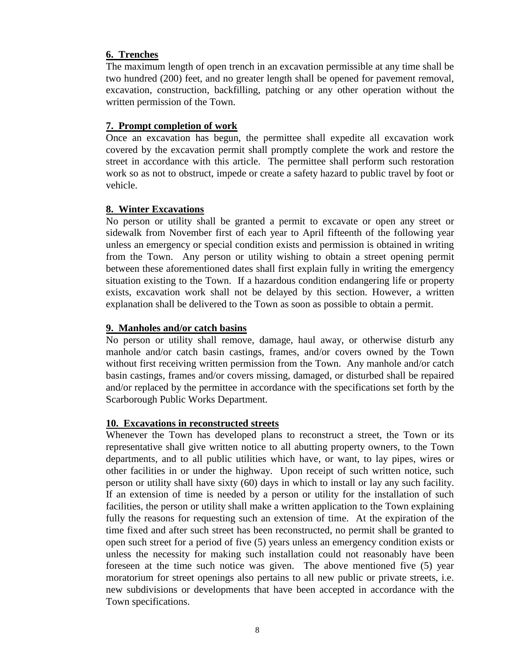## <span id="page-9-0"></span>**6. Trenches**

The maximum length of open trench in an excavation permissible at any time shall be two hundred (200) feet, and no greater length shall be opened for pavement removal, excavation, construction, backfilling, patching or any other operation without the written permission of the Town.

## <span id="page-9-1"></span>**7. Prompt completion of work**

Once an excavation has begun, the permittee shall expedite all excavation work covered by the excavation permit shall promptly complete the work and restore the street in accordance with this article. The permittee shall perform such restoration work so as not to obstruct, impede or create a safety hazard to public travel by foot or vehicle.

## <span id="page-9-2"></span>**8. Winter Excavations**

No person or utility shall be granted a permit to excavate or open any street or sidewalk from November first of each year to April fifteenth of the following year unless an emergency or special condition exists and permission is obtained in writing from the Town. Any person or utility wishing to obtain a street opening permit between these aforementioned dates shall first explain fully in writing the emergency situation existing to the Town. If a hazardous condition endangering life or property exists, excavation work shall not be delayed by this section. However, a written explanation shall be delivered to the Town as soon as possible to obtain a permit.

# <span id="page-9-3"></span>**9. Manholes and/or catch basins**

No person or utility shall remove, damage, haul away, or otherwise disturb any manhole and/or catch basin castings, frames, and/or covers owned by the Town without first receiving written permission from the Town. Any manhole and/or catch basin castings, frames and/or covers missing, damaged, or disturbed shall be repaired and/or replaced by the permittee in accordance with the specifications set forth by the Scarborough Public Works Department.

#### <span id="page-9-4"></span>**10. Excavations in reconstructed streets**

Whenever the Town has developed plans to reconstruct a street, the Town or its representative shall give written notice to all abutting property owners, to the Town departments, and to all public utilities which have, or want, to lay pipes, wires or other facilities in or under the highway. Upon receipt of such written notice, such person or utility shall have sixty (60) days in which to install or lay any such facility. If an extension of time is needed by a person or utility for the installation of such facilities, the person or utility shall make a written application to the Town explaining fully the reasons for requesting such an extension of time. At the expiration of the time fixed and after such street has been reconstructed, no permit shall be granted to open such street for a period of five (5) years unless an emergency condition exists or unless the necessity for making such installation could not reasonably have been foreseen at the time such notice was given. The above mentioned five (5) year moratorium for street openings also pertains to all new public or private streets, i.e. new subdivisions or developments that have been accepted in accordance with the Town specifications.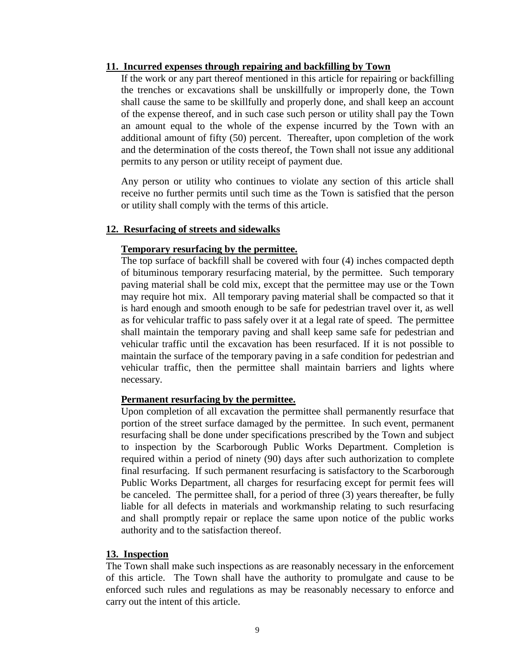#### <span id="page-10-0"></span>**11. Incurred expenses through repairing and backfilling by Town**

If the work or any part thereof mentioned in this article for repairing or backfilling the trenches or excavations shall be unskillfully or improperly done, the Town shall cause the same to be skillfully and properly done, and shall keep an account of the expense thereof, and in such case such person or utility shall pay the Town an amount equal to the whole of the expense incurred by the Town with an additional amount of fifty (50) percent. Thereafter, upon completion of the work and the determination of the costs thereof, the Town shall not issue any additional permits to any person or utility receipt of payment due.

Any person or utility who continues to violate any section of this article shall receive no further permits until such time as the Town is satisfied that the person or utility shall comply with the terms of this article.

#### <span id="page-10-1"></span>**12. Resurfacing of streets and sidewalks**

#### **Temporary resurfacing by the permittee.**

The top surface of backfill shall be covered with four (4) inches compacted depth of bituminous temporary resurfacing material, by the permittee. Such temporary paving material shall be cold mix, except that the permittee may use or the Town may require hot mix. All temporary paving material shall be compacted so that it is hard enough and smooth enough to be safe for pedestrian travel over it, as well as for vehicular traffic to pass safely over it at a legal rate of speed. The permittee shall maintain the temporary paving and shall keep same safe for pedestrian and vehicular traffic until the excavation has been resurfaced. If it is not possible to maintain the surface of the temporary paving in a safe condition for pedestrian and vehicular traffic, then the permittee shall maintain barriers and lights where necessary.

#### **Permanent resurfacing by the permittee.**

Upon completion of all excavation the permittee shall permanently resurface that portion of the street surface damaged by the permittee. In such event, permanent resurfacing shall be done under specifications prescribed by the Town and subject to inspection by the Scarborough Public Works Department. Completion is required within a period of ninety (90) days after such authorization to complete final resurfacing. If such permanent resurfacing is satisfactory to the Scarborough Public Works Department, all charges for resurfacing except for permit fees will be canceled. The permittee shall, for a period of three (3) years thereafter, be fully liable for all defects in materials and workmanship relating to such resurfacing and shall promptly repair or replace the same upon notice of the public works authority and to the satisfaction thereof.

#### <span id="page-10-2"></span>**13. Inspection**

The Town shall make such inspections as are reasonably necessary in the enforcement of this article. The Town shall have the authority to promulgate and cause to be enforced such rules and regulations as may be reasonably necessary to enforce and carry out the intent of this article.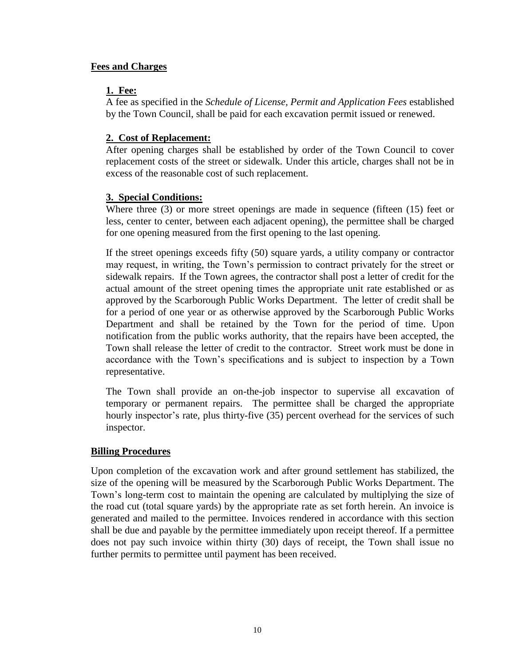## <span id="page-11-1"></span><span id="page-11-0"></span>**Fees and Charges**

# **1. Fee:**

A fee as specified in the *Schedule of License, Permit and Application Fees* established by the Town Council, shall be paid for each excavation permit issued or renewed.

# <span id="page-11-2"></span>**2. Cost of Replacement:**

After opening charges shall be established by order of the Town Council to cover replacement costs of the street or sidewalk. Under this article, charges shall not be in excess of the reasonable cost of such replacement.

# <span id="page-11-3"></span>**3. Special Conditions:**

Where three (3) or more street openings are made in sequence (fifteen (15) feet or less, center to center, between each adjacent opening), the permittee shall be charged for one opening measured from the first opening to the last opening.

If the street openings exceeds fifty (50) square yards, a utility company or contractor may request, in writing, the Town's permission to contract privately for the street or sidewalk repairs. If the Town agrees, the contractor shall post a letter of credit for the actual amount of the street opening times the appropriate unit rate established or as approved by the Scarborough Public Works Department. The letter of credit shall be for a period of one year or as otherwise approved by the Scarborough Public Works Department and shall be retained by the Town for the period of time. Upon notification from the public works authority, that the repairs have been accepted, the Town shall release the letter of credit to the contractor. Street work must be done in accordance with the Town's specifications and is subject to inspection by a Town representative.

The Town shall provide an on-the-job inspector to supervise all excavation of temporary or permanent repairs. The permittee shall be charged the appropriate hourly inspector's rate, plus thirty-five (35) percent overhead for the services of such inspector.

# <span id="page-11-4"></span>**Billing Procedures**

Upon completion of the excavation work and after ground settlement has stabilized, the size of the opening will be measured by the Scarborough Public Works Department. The Town's long-term cost to maintain the opening are calculated by multiplying the size of the road cut (total square yards) by the appropriate rate as set forth herein. An invoice is generated and mailed to the permittee. Invoices rendered in accordance with this section shall be due and payable by the permittee immediately upon receipt thereof. If a permittee does not pay such invoice within thirty (30) days of receipt, the Town shall issue no further permits to permittee until payment has been received.